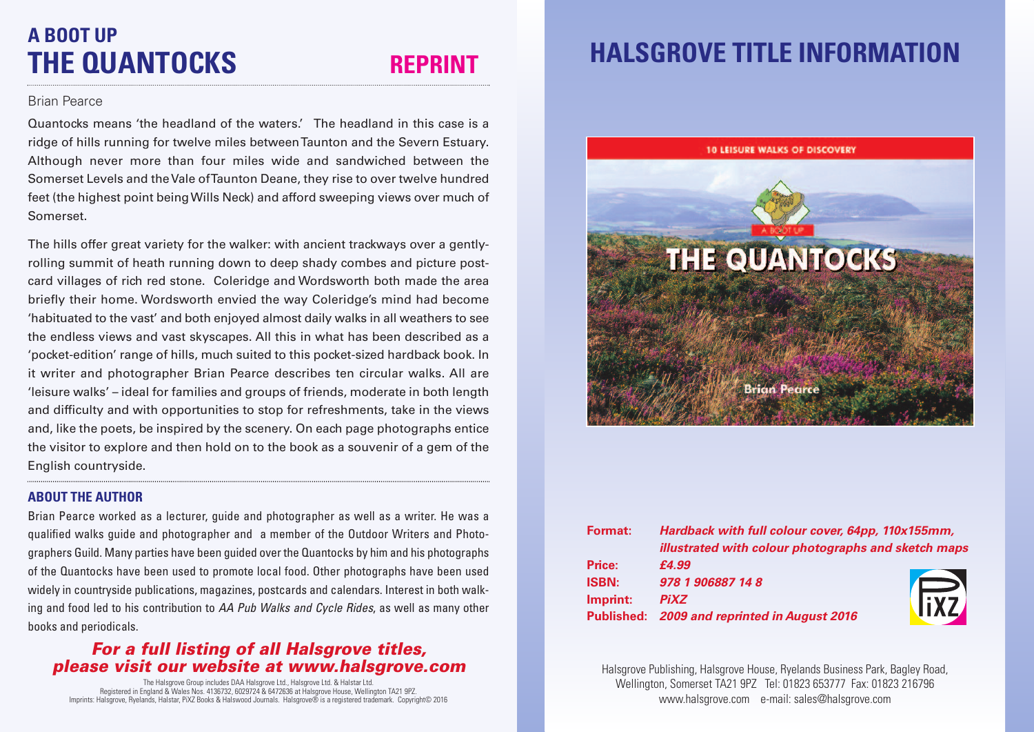# **A BOOT UP THE QUANTOCKS REPRINT**

### Brian Pearce

Quantocks means 'the headland of the waters.' The headland in this case is a ridge of hills running for twelve miles betweenTaunton and the Severn Estuary. Although never more than four miles wide and sandwiched between the Somerset Levels and theVale ofTaunton Deane, they rise to over twelve hundred feet (the highest point beingWills Neck) and afford sweeping views over much of Somerset.

The hills offer great variety for the walker: with ancient trackways over a gentlyrolling summit of heath running down to deep shady combes and picture postcard villages of rich red stone. Coleridge and Wordsworth both made the area briefly their home. Wordsworth envied the way Coleridge's mind had become 'habituated to the vast' and both enjoyed almost daily walks in all weathers to see the endless views and vast skyscapes. All this in what has been described as a 'pocket-edition' range of hills, much suited to this pocket-sized hardback book. In it writer and photographer Brian Pearce describes ten circular walks. All are 'leisure walks' – ideal for families and groups of friends, moderate in both length and difficulty and with opportunities to stop for refreshments, take in the views and, like the poets, be inspired by the scenery. On each page photographs entice the visitor to explore and then hold on to the book as a souvenir of a gem of the English countryside.

### **ABOUT THE AUTHOR**

Brian Pearce worked as a lecturer, guide and photographer as well as a writer. He was a qualified walks guide and photographer and a member of the Outdoor Writers and Photographers Guild. Many parties have been guided over the Quantocks by him and his photographs of the Quantocks have been used to promote local food. Other photographs have been used widely in countryside publications, magazines, postcards and calendars. Interest in both walking and food led to his contribution to *AA Pub Walks and Cycle Rides*, as well as many other books and periodicals.

## *For a full listing of all Halsgrove titles, please visit our website at www.halsgrove.com*

The Halsgrove Group includes DAA Halsgrove Ltd., Halsgrove Ltd. & Halstar Ltd. Registered in England & Wales Nos. 4136732, 6029724 & 6472636 at Halsgrove House, Wellington TA21 9PZ. Imprints: Halsgrove, Ryelands, Halstar, PiXZ Books & Halswood Journals. Halsgrove® is a registered trademark. Copyright© 2016

# **HALSGROVE TITLE INFORMATION**



| <b>Format:</b> | Hardback with full colour cover, 64pp, 110x155mm,   |              |
|----------------|-----------------------------------------------------|--------------|
|                | illustrated with colour photographs and sketch maps |              |
| Price:         | £4.99                                               |              |
| <b>ISBN:</b>   | 978 1 906887 14 8                                   |              |
| Imprint:       | <b>PiXZ</b>                                         | <b>IFREE</b> |
|                | Published: 2009 and reprinted in August 2016        |              |

Halsgrove Publishing, Halsgrove House, Ryelands Business Park, Bagley Road, Wellington, Somerset TA21 9PZ Tel: 01823 653777 Fax: 01823 216796 www.halsgrove.com e-mail: sales@halsgrove.com